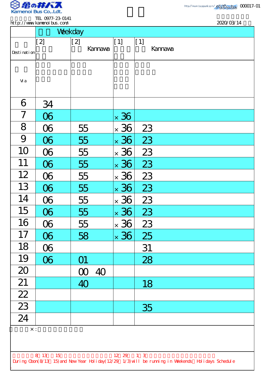

.

TEL 0977-23-0141 http://www.kamenoibus.com/

|                                                                                                    | http://www.kanenoi.bus.com/ | Weekday        |             |         | 2020/03/14 |  |  |
|----------------------------------------------------------------------------------------------------|-----------------------------|----------------|-------------|---------|------------|--|--|
|                                                                                                    |                             |                |             |         |            |  |  |
|                                                                                                    | [2]                         | [2]            | [1]         | $[1]$   |            |  |  |
| Desti nati on                                                                                      |                             | <b>Kannava</b> |             | Kannava |            |  |  |
|                                                                                                    |                             |                |             |         |            |  |  |
|                                                                                                    |                             |                |             |         |            |  |  |
| Vi a                                                                                               |                             |                |             |         |            |  |  |
|                                                                                                    |                             |                |             |         |            |  |  |
| 6                                                                                                  | 34                          |                |             |         |            |  |  |
| $\overline{7}$                                                                                     | $\infty$                    |                | $\times$ 36 |         |            |  |  |
| 8                                                                                                  | $\infty$                    | 55             | $\times$ 36 | 23      |            |  |  |
| 9                                                                                                  | 06                          | 55             | $\times$ 36 | 23      |            |  |  |
| 10                                                                                                 | $\infty$                    | 55             | $\times$ 36 | 23      |            |  |  |
| 11                                                                                                 | $0\!6$                      | 55             | $\times$ 36 | 23      |            |  |  |
| 12                                                                                                 | $\infty$                    | 55             | $\times$ 36 | 23      |            |  |  |
| 13                                                                                                 | 06                          | 55             | $\times$ 36 | 23      |            |  |  |
| 14                                                                                                 | $\infty$                    | 55             | $\times$ 36 | 23      |            |  |  |
| 15                                                                                                 | $\infty$                    | 55             | $\times$ 36 | 23      |            |  |  |
| 16                                                                                                 | $\infty$                    | 55             | $\times$ 36 | 23      |            |  |  |
| 17                                                                                                 | 06                          | 58             | $\times$ 36 | 25      |            |  |  |
| 18                                                                                                 | $\infty$                    |                |             | 31      |            |  |  |
| 19                                                                                                 | $\infty$                    | O1             |             | 28      |            |  |  |
| 20                                                                                                 |                             | $\infty$<br>40 |             |         |            |  |  |
| 21                                                                                                 |                             | 40             |             | 18      |            |  |  |
| $\frac{22}{23}$                                                                                    |                             |                |             |         |            |  |  |
|                                                                                                    |                             |                |             | 35      |            |  |  |
| $\overline{24}$                                                                                    |                             |                |             |         |            |  |  |
| $\times$ :                                                                                         |                             |                |             |         |            |  |  |
|                                                                                                    |                             |                |             |         |            |  |  |
| 8 13 15<br>12 29 1 3                                                                               |                             |                |             |         |            |  |  |
| During Cbon(8/13 15) and New Year Holiday(12/29 1/3) will be running in Weekends Holidays Schedule |                             |                |             |         |            |  |  |